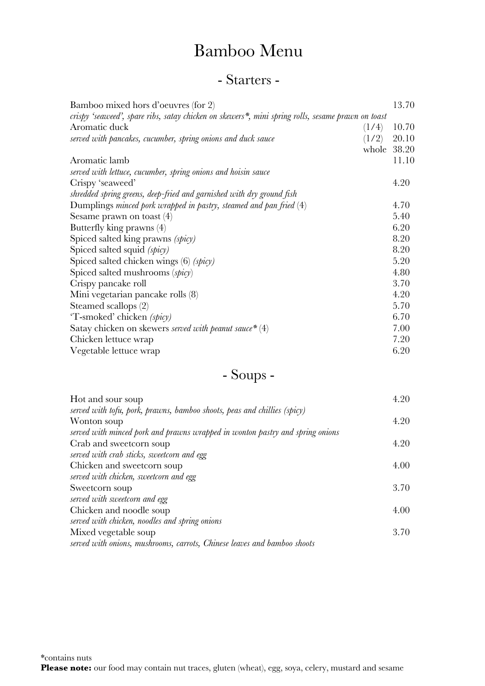#### - Starters -

| Bamboo mixed hors d'oeuvres (for 2)                                                               |       | 13.70 |
|---------------------------------------------------------------------------------------------------|-------|-------|
| crispy 'seaweed', spare ribs, satay chicken on skewers*, mini spring rolls, sesame prawn on toast |       |       |
| Aromatic duck                                                                                     | (1/4) | 10.70 |
| served with pancakes, cucumber, spring onions and duck sauce                                      | (1/2) | 20.10 |
|                                                                                                   | whole | 38.20 |
| Aromatic lamb                                                                                     |       | 11.10 |
| served with lettuce, cucumber, spring onions and hoisin sauce                                     |       |       |
| Crispy 'seaweed'                                                                                  |       | 4.20  |
| shredded spring greens, deep-fried and garnished with dry ground fish                             |       |       |
| Dumplings minced pork wrapped in pastry, steamed and pan fried $(4)$                              |       | 4.70  |
| Sesame prawn on toast $(4)$                                                                       |       | 5.40  |
| Butterfly king prawns (4)                                                                         |       | 6.20  |
| Spiced salted king prawns (spicy)                                                                 |       | 8.20  |
| Spiced salted squid (spicy)                                                                       |       | 8.20  |
| Spiced salted chicken wings $(6)$ (spicy)                                                         |       | 5.20  |
| Spiced salted mushrooms (spicy)                                                                   |       | 4.80  |
| Crispy pancake roll                                                                               |       | 3.70  |
| Mini vegetarian pancake rolls (8)                                                                 |       | 4.20  |
| Steamed scallops (2)                                                                              |       | 5.70  |
| 'T-smoked' chicken (spicy)                                                                        |       | 6.70  |
| Satay chicken on skewers <i>served with peanut sauce</i> $*(4)$                                   |       | 7.00  |
| Chicken lettuce wrap                                                                              |       | 7.20  |
| Vegetable lettuce wrap                                                                            |       | 6.20  |
|                                                                                                   |       |       |

### - Soups -

| Hot and sour soup                                                             | 4.20 |
|-------------------------------------------------------------------------------|------|
| served with tofu, pork, prawns, bamboo shoots, peas and chillies (spicy)      |      |
| Wonton soup                                                                   | 4.20 |
| served with minced pork and prawns wrapped in wonton pastry and spring onions |      |
| Crab and sweetcorn soup                                                       | 4.20 |
| served with crab sticks, sweetcorn and egg                                    |      |
| Chicken and sweetcorn soup                                                    | 4.00 |
| served with chicken, sweetcorn and egg                                        |      |
| Sweetcorn soup                                                                | 3.70 |
| served with sweetcorn and egg                                                 |      |
| Chicken and noodle soup                                                       | 4.00 |
| served with chicken, noodles and spring onions                                |      |
| Mixed vegetable soup                                                          | 3.70 |
| served with onions, mushrooms, carrots, Chinese leaves and bamboo shoots      |      |
|                                                                               |      |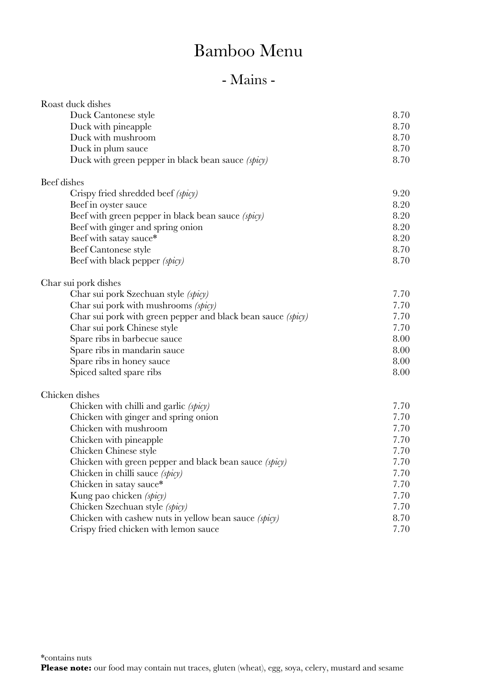| Roast duck dishes                                            |      |
|--------------------------------------------------------------|------|
| Duck Cantonese style                                         | 8.70 |
| Duck with pineapple                                          | 8.70 |
| Duck with mushroom                                           | 8.70 |
| Duck in plum sauce                                           | 8.70 |
| Duck with green pepper in black bean sauce (spicy)           | 8.70 |
| Beef dishes                                                  |      |
| Crispy fried shredded beef (spicy)                           | 9.20 |
| Beef in oyster sauce                                         | 8.20 |
| Beef with green pepper in black bean sauce (spicy)           | 8.20 |
| Beef with ginger and spring onion                            | 8.20 |
| Beef with satay sauce*                                       | 8.20 |
| Beef Cantonese style                                         | 8.70 |
| Beef with black pepper (spicy)                               | 8.70 |
| Char sui pork dishes                                         |      |
| Char sui pork Szechuan style (spicy)                         | 7.70 |
| Char sui pork with mushrooms (spicy)                         | 7.70 |
| Char sui pork with green pepper and black bean sauce (spicy) | 7.70 |
| Char sui pork Chinese style                                  | 7.70 |
| Spare ribs in barbecue sauce                                 | 8.00 |
| Spare ribs in mandarin sauce                                 | 8.00 |
| Spare ribs in honey sauce                                    | 8.00 |
| Spiced salted spare ribs                                     | 8.00 |
| Chicken dishes                                               |      |
| Chicken with chilli and garlic (spicy)                       | 7.70 |
| Chicken with ginger and spring onion                         | 7.70 |
| Chicken with mushroom                                        | 7.70 |
| Chicken with pineapple                                       | 7.70 |
| Chicken Chinese style                                        | 7.70 |
| Chicken with green pepper and black bean sauce (spicy)       | 7.70 |
| Chicken in chilli sauce (spicy)                              | 7.70 |
| Chicken in satay sauce*                                      | 7.70 |
| Kung pao chicken (spicy)                                     | 7.70 |
| Chicken Szechuan style (spicy)                               | 7.70 |
| Chicken with cashew nuts in yellow bean sauce (spicy)        | 8.70 |
| Crispy fried chicken with lemon sauce                        | 7.70 |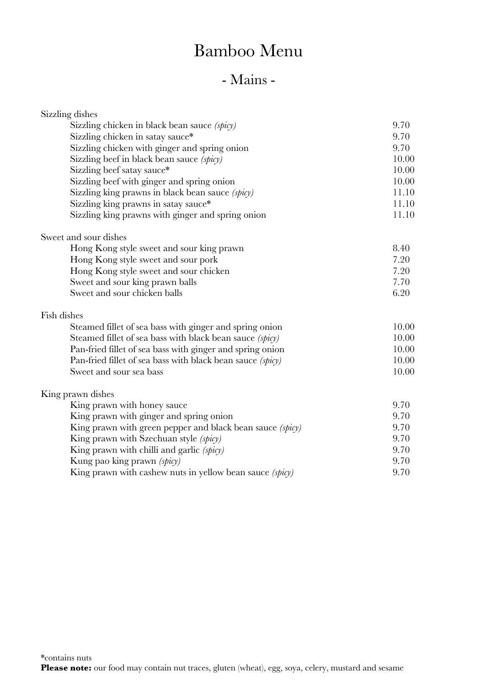| Sizzling dishes                                            |       |
|------------------------------------------------------------|-------|
| Sizzling chicken in black bean sauce (spicy)               | 9.70  |
| Sizzling chicken in satay sauce*                           | 9.70  |
| Sizzling chicken with ginger and spring onion              | 9.70  |
| Sizzling beef in black bean sauce (spicy)                  | 10.00 |
| Sizzling beef satay sauce*                                 | 10.00 |
| Sizzling beef with ginger and spring onion                 | 10.00 |
| Sizzling king prawns in black bean sauce (spicy)           | 11.10 |
| Sizzling king prawns in satay sauce*                       | 11.10 |
| Sizzling king prawns with ginger and spring onion          | 11.10 |
| Sweet and sour dishes                                      |       |
| Hong Kong style sweet and sour king prawn                  | 8.40  |
| Hong Kong style sweet and sour pork                        | 7.20  |
| Hong Kong style sweet and sour chicken                     | 7.20  |
| Sweet and sour king prawn balls                            | 7.70  |
| Sweet and sour chicken balls                               | 6.20  |
| Fish dishes                                                |       |
| Steamed fillet of sea bass with ginger and spring onion    | 10.00 |
| Steamed fillet of sea bass with black bean sauce (spicy)   | 10.00 |
| Pan-fried fillet of sea bass with ginger and spring onion  | 10.00 |
| Pan-fried fillet of sea bass with black bean sauce (spicy) | 10.00 |
| Sweet and sour sea bass                                    | 10.00 |
| King prawn dishes                                          |       |
| King prawn with honey sauce                                | 9.70  |
| King prawn with ginger and spring onion                    | 9.70  |
| King prawn with green pepper and black bean sauce (spicy)  | 9.70  |
| King prawn with Szechuan style (spicy)                     | 9.70  |
| King prawn with chilli and garlic (spicy)                  | 9.70  |
| Kung pao king prawn (spicy)                                | 9.70  |
| King prawn with cashew nuts in yellow bean sauce (spicy)   | 9.70  |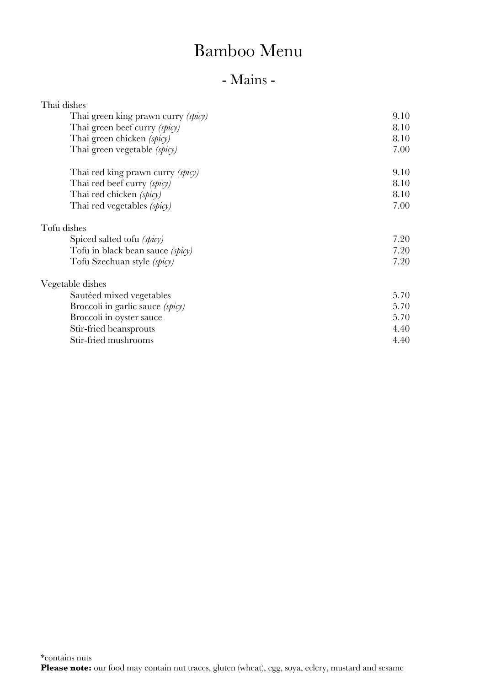| Thai dishes                             |      |
|-----------------------------------------|------|
| Thai green king prawn curry (spicy)     | 9.10 |
| Thai green beef curry (spicy)           | 8.10 |
| Thai green chicken (spicy)              | 8.10 |
| Thai green vegetable (spicy)            | 7.00 |
| Thai red king prawn curry (spicy)       | 9.10 |
| Thai red beef curry (spicy)             | 8.10 |
| Thai red chicken (spicy)                | 8.10 |
| Thai red vegetables (spicy)             | 7.00 |
| Tofu dishes                             |      |
| Spiced salted tofu (spicy)              | 7.20 |
| Tofu in black bean sauce <i>(spicy)</i> | 7.20 |
| Tofu Szechuan style (spicy)             | 7.20 |
| Vegetable dishes                        |      |
| Sautéed mixed vegetables                | 5.70 |
| Broccoli in garlic sauce (spicy)        | 5.70 |
| Broccoli in oyster sauce                | 5.70 |
| Stir-fried beansprouts                  | 4.40 |
| Stir-fried mushrooms                    | 4.40 |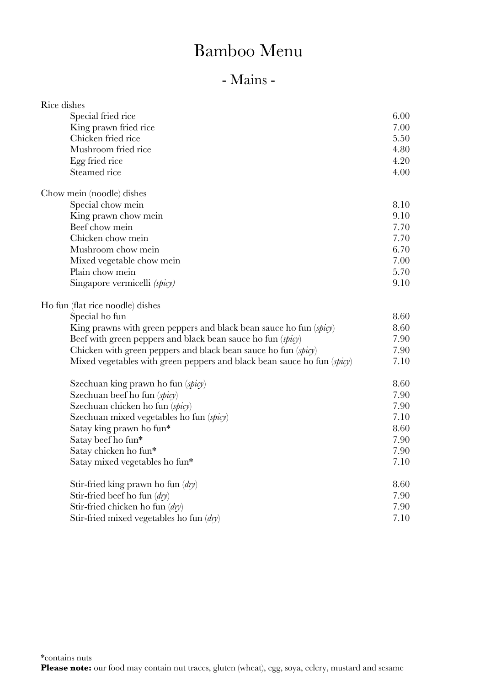| Rice dishes                                                             |      |
|-------------------------------------------------------------------------|------|
| Special fried rice                                                      | 6.00 |
| King prawn fried rice                                                   | 7.00 |
| Chicken fried rice                                                      | 5.50 |
| Mushroom fried rice                                                     | 4.80 |
| Egg fried rice                                                          | 4.20 |
| Steamed rice                                                            | 4.00 |
| Chow mein (noodle) dishes                                               |      |
| Special chow mein                                                       | 8.10 |
| King prawn chow mein                                                    | 9.10 |
| Beef chow mein                                                          | 7.70 |
| Chicken chow mein                                                       | 7.70 |
| Mushroom chow mein                                                      | 6.70 |
| Mixed vegetable chow mein                                               | 7.00 |
| Plain chow mein                                                         | 5.70 |
| Singapore vermicelli (spicy)                                            | 9.10 |
| Ho fun (flat rice noodle) dishes                                        |      |
| Special ho fun                                                          | 8.60 |
| King prawns with green peppers and black bean sauce ho fun (spicy)      | 8.60 |
| Beef with green peppers and black bean sauce ho fun (spicy)             | 7.90 |
| Chicken with green peppers and black bean sauce ho fun (spicy)          | 7.90 |
| Mixed vegetables with green peppers and black bean sauce ho fun (spicy) | 7.10 |
| Szechuan king prawn ho fun (spicy)                                      | 8.60 |
| Szechuan beef ho fun (spicy)                                            | 7.90 |
| Szechuan chicken ho fun (spicy)                                         | 7.90 |
| Szechuan mixed vegetables ho fun (spicy)                                | 7.10 |
| Satay king prawn ho fun*                                                | 8.60 |
| Satay beef ho fun*                                                      | 7.90 |
| Satay chicken ho fun*                                                   | 7.90 |
| Satay mixed vegetables ho fun*                                          | 7.10 |
| Stir-fried king prawn ho fun $(dy)$                                     | 8.60 |
| Stir-fried beef ho fun $\langle dry \rangle$                            | 7.90 |
| Stir-fried chicken ho fun $(dy)$                                        | 7.90 |
| Stir-fried mixed vegetables ho fun $\langle dry \rangle$                | 7.10 |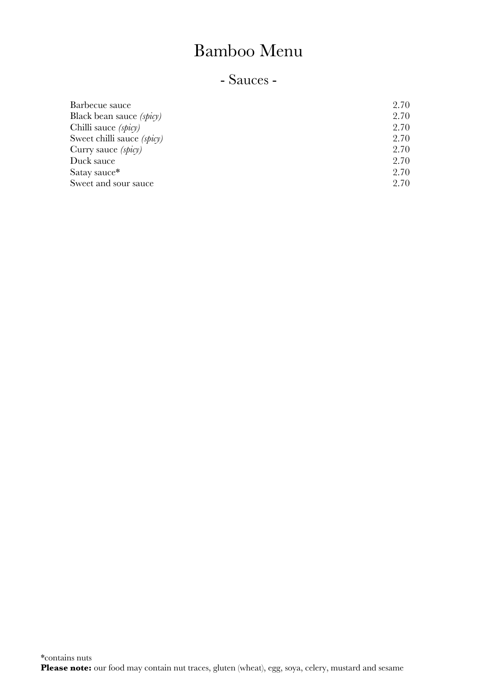#### - Sauces -

| Barbecue sauce                  | 2.70 |
|---------------------------------|------|
| Black bean sauce <i>(spicy)</i> | 2.70 |
| Chilli sauce (spicy)            | 2.70 |
| Sweet chilli sauce (spicy)      | 2.70 |
| Curry sauce <i>(spicy)</i>      | 2.70 |
| Duck sauce                      | 2.70 |
| Satay sauce*                    | 2.70 |
| Sweet and sour sauce            | 2.70 |